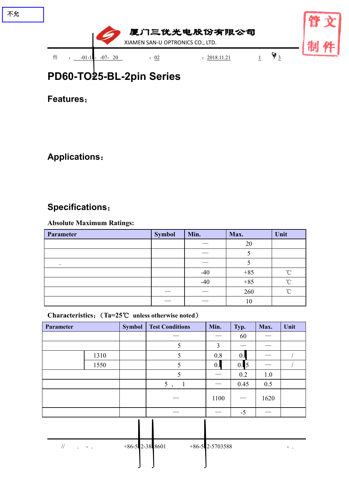

**Features**:

**Applications**:

# **Specifications**:

### **Absolute Maximum Ratings:**

| Parameter | <b>Symbol</b> | Min.                            | Max.  | Unit   |
|-----------|---------------|---------------------------------|-------|--------|
|           |               |                                 | 20    |        |
|           |               |                                 |       |        |
|           |               |                                 |       |        |
|           |               | $-40$                           | $+85$ | $\sim$ |
|           |               | $-40$                           | $+85$ | $\sim$ |
|           |               |                                 | 260   | $\sim$ |
|           |               | $\hspace{0.1mm}-\hspace{0.1mm}$ | 10    |        |

## **Characteristics**:(**Ta=25**℃ **unless otherwise noted**)

| Parameter |      | Symbol | <b>Test Conditions</b> | Min. | Typ.                            | Max. | Unit |
|-----------|------|--------|------------------------|------|---------------------------------|------|------|
|           |      |        |                        |      | 60                              |      |      |
|           |      |        |                        | 3    | ___                             |      |      |
|           | 1310 |        |                        | 0.8  | 0.                              | ___  |      |
|           | 1550 |        |                        | 0.2  | 0.5                             |      |      |
|           |      |        |                        |      | 0.2                             | 1.0  |      |
|           |      |        | 5,                     |      | 0.45                            | 0.5  |      |
|           |      |        | __                     | 1100 | $\hspace{0.1mm}-\hspace{0.1mm}$ | 1620 |      |
|           |      |        | ___                    |      | $-5$                            |      |      |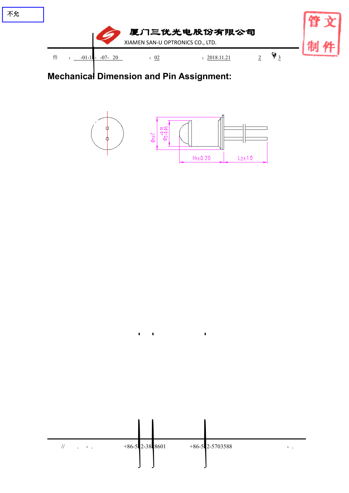

 $\bullet$ 

 $\bullet$  $\mathcal{L}$